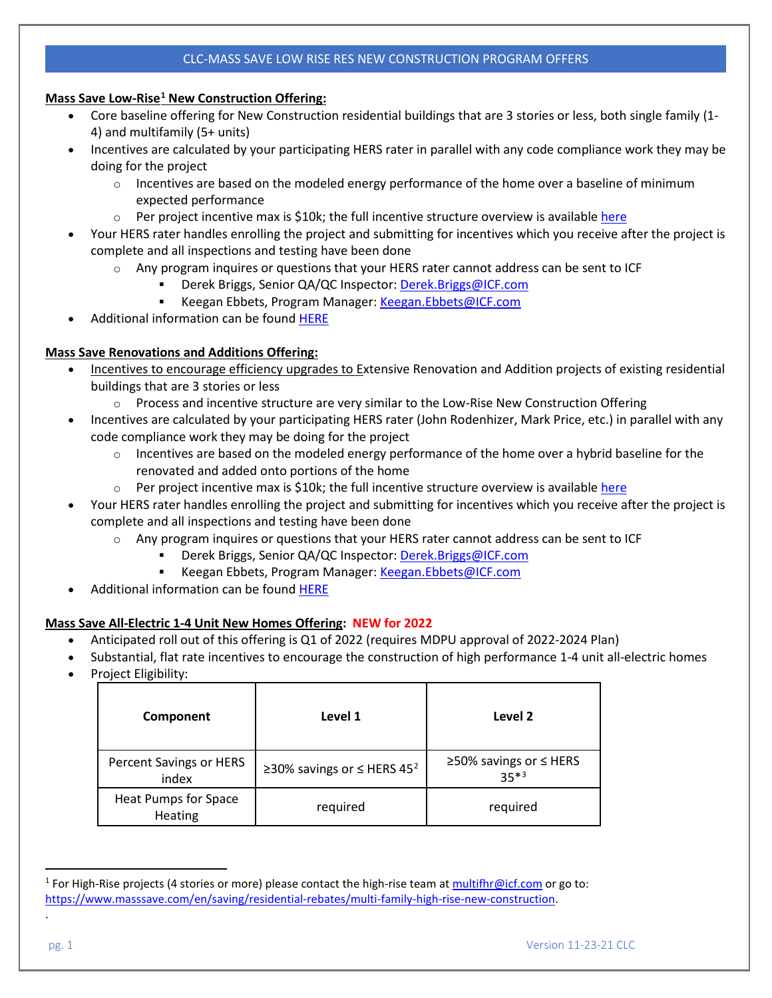## CLC-MASS SAVE LOW RISE RES NEW CONSTRUCTION PROGRAM OFFERS

#### **Mass Save Low-Rise[1](#page-0-0) New Construction Offering:**

- Core baseline offering for New Construction residential buildings that are 3 stories or less, both single family (1- 4) and multifamily (5+ units)
- Incentives are calculated by your participating HERS rater in parallel with any code compliance work they may be doing for the project
	- $\circ$  Incentives are based on the modeled energy performance of the home over a baseline of minimum expected performance
	- $\circ$  Per project incentive max is \$10k; the full incentive structure overview is availabl[e here](https://www.masssave.com/-/media/Files/PDFs/Save/Residential/Pay-for-Savings.pdf?la=en&hash=67420BCA38A8BC3BBDB8B9DE41949DE58D22C964)
- Your HERS rater handles enrolling the project and submitting for incentives which you receive after the project is complete and all inspections and testing have been done
	- $\circ$  Any program inquires or questions that your HERS rater cannot address can be sent to ICF
		- Derek Briggs, Senior QA/QC Inspector[: Derek.Briggs@ICF.com](mailto:Derek.Briggs@ICF.com)
		- Keegan Ebbets, Program Manager[: Keegan.Ebbets@ICF.com](mailto:Keegan.Ebbets@ICF.com)
- Additional information can be found [HERE](https://www.masssave.com/en/saving/residential-rebates/new-construction#_blank)

### **Mass Save Renovations and Additions Offering:**

- Incentives to encourage efficiency upgrades to Extensive Renovation and Addition projects of existing residential buildings that are 3 stories or less
	- $\circ$  Process and incentive structure are very similar to the Low-Rise New Construction Offering
- Incentives are calculated by your participating HERS rater (John Rodenhizer, Mark Price, etc.) in parallel with any code compliance work they may be doing for the project
	- $\circ$  Incentives are based on the modeled energy performance of the home over a hybrid baseline for the renovated and added onto portions of the home
	- $\circ$  Per project incentive max is \$10k; the full incentive structure overview is availabl[e here](https://www.masssave.com/-/media/Files/PDFs/Save/Residential/Pay-for-Savings.pdf?la=en&hash=67420BCA38A8BC3BBDB8B9DE41949DE58D22C964)
- Your HERS rater handles enrolling the project and submitting for incentives which you receive after the project is complete and all inspections and testing have been done
	- $\circ$  Any program inquires or questions that your HERS rater cannot address can be sent to ICF
		- Derek Briggs, Senior QA/QC Inspector[: Derek.Briggs@ICF.com](mailto:Derek.Briggs@ICF.com)
		- Keegan Ebbets, Program Manager[: Keegan.Ebbets@ICF.com](mailto:Keegan.Ebbets@ICF.com)
- Additional information can be found [HERE](https://www.masssave.com/en/saving/residential-rebates/renovations-and-additions#_blank)

### **Mass Save All-Electric 1-4 Unit New Homes Offering: NEW for 2022**

- Anticipated roll out of this offering is Q1 of 2022 (requires MDPU approval of 2022-2024 Plan)
- Substantial, flat rate incentives to encourage the construction of high performance 1-4 unit all-electric homes
- Project Eligibility:

| Component                        | Level 1                                     | Level 2                          |
|----------------------------------|---------------------------------------------|----------------------------------|
| Percent Savings or HERS<br>index | ≥30% savings or $\leq$ HERS 45 <sup>2</sup> | ≥50% savings or ≤ HERS<br>$35*3$ |
| Heat Pumps for Space<br>Heating  | required                                    | required                         |

<span id="page-0-0"></span><sup>&</sup>lt;sup>1</sup> For High-Rise projects (4 stories or more) please contact the high-rise team at [multifhr@icf.com](mailto:multifhr@icf.com) or go to: [https://www.masssave.com/en/saving/residential-rebates/multi-family-high-rise-new-construction.](https://www.masssave.com/en/saving/residential-rebates/multi-family-high-rise-new-construction)

<span id="page-0-2"></span><span id="page-0-1"></span>.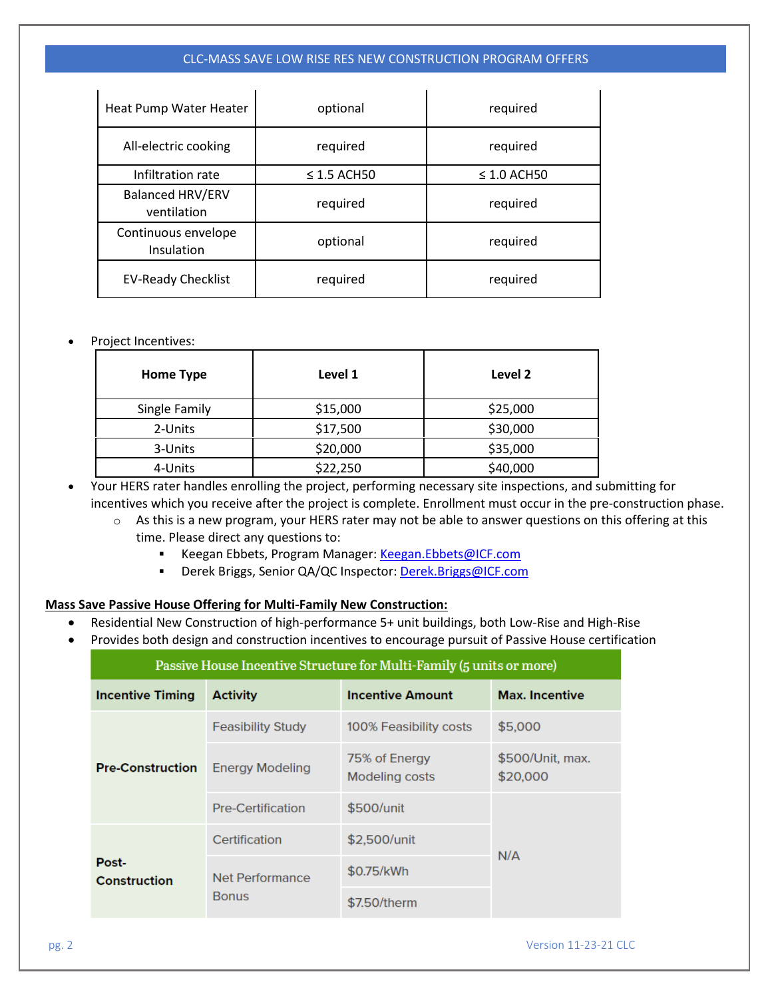### CLC-MASS SAVE LOW RISE RES NEW CONSTRUCTION PROGRAM OFFERS

| Heat Pump Water Heater                 | optional                             | required |  |
|----------------------------------------|--------------------------------------|----------|--|
| All-electric cooking                   | required                             | required |  |
| Infiltration rate                      | $\leq$ 1.5 ACH50<br>$\leq$ 1.0 ACH50 |          |  |
| <b>Balanced HRV/ERV</b><br>ventilation | required                             | required |  |
| Continuous envelope<br>Insulation      | optional                             | required |  |
| <b>EV-Ready Checklist</b>              | required                             | required |  |

#### • Project Incentives:

| Home Type     | Level 1  | Level 2  |
|---------------|----------|----------|
| Single Family | \$15,000 | \$25,000 |
| 2-Units       | \$17,500 | \$30,000 |
| 3-Units       | \$20,000 | \$35,000 |
| 4-Units       | \$22,250 | \$40,000 |

• Your HERS rater handles enrolling the project, performing necessary site inspections, and submitting for incentives which you receive after the project is complete. Enrollment must occur in the pre-construction phase.

- o As this is a new program, your HERS rater may not be able to answer questions on this offering at this time. Please direct any questions to:
	- Keegan Ebbets, Program Manager[: Keegan.Ebbets@ICF.com](mailto:Keegan.Ebbets@ICF.com)
	- Derek Briggs, Senior QA/QC Inspector[: Derek.Briggs@ICF.com](mailto:Derek.Briggs@ICF.com)

# **Mass Save Passive House Offering for Multi-Family New Construction:**

Net Performance

**Bonus** 

- Residential New Construction of high-performance 5+ unit buildings, both Low-Rise and High-Rise
- Provides both design and construction incentives to encourage pursuit of Passive House certification

| Passive House Incentive Structure for Multi-Family (5 units or more) |                          |                                 |                              |  |  |
|----------------------------------------------------------------------|--------------------------|---------------------------------|------------------------------|--|--|
| <b>Incentive Timing</b>                                              | <b>Activity</b>          | <b>Incentive Amount</b>         | <b>Max. Incentive</b>        |  |  |
| <b>Pre-Construction</b>                                              | <b>Feasibility Study</b> | 100% Feasibility costs          | \$5,000                      |  |  |
|                                                                      | <b>Energy Modeling</b>   | 75% of Energy<br>Modeling costs | \$500/Unit, max.<br>\$20,000 |  |  |
|                                                                      | <b>Pre-Certification</b> | \$500/unit                      |                              |  |  |
| Post-                                                                | Certification            | \$2,500/unit                    |                              |  |  |
|                                                                      |                          |                                 | N/A                          |  |  |

\$0.75/kWh

\$7.50/therm

Construction